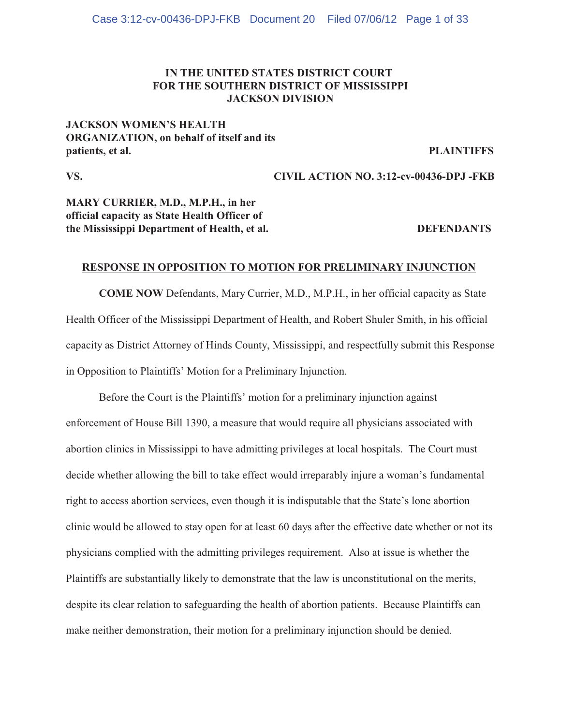# **IN THE UNITED STATES DISTRICT COURT FOR THE SOUTHERN DISTRICT OF MISSISSIPPI JACKSON DIVISION**

# **JACKSON WOMEN'S HEALTH ORGANIZATION, on behalf of itself and its** patients, et al. PLAINTIFFS

**VS. CIVIL ACTION NO. 3:12-cv-00436-DPJ -FKB**

# **MARY CURRIER, M.D., M.P.H., in her official capacity as State Health Officer of the Mississippi Department of Health, et al. DEFENDANTS**

## **RESPONSE IN OPPOSITION TO MOTION FOR PRELIMINARY INJUNCTION**

**COME NOW** Defendants, Mary Currier, M.D., M.P.H., in her official capacity as State Health Officer of the Mississippi Department of Health, and Robert Shuler Smith, in his official capacity as District Attorney of Hinds County, Mississippi, and respectfully submit this Response in Opposition to Plaintiffs' Motion for a Preliminary Injunction.

Before the Court is the Plaintiffs' motion for a preliminary injunction against enforcement of House Bill 1390, a measure that would require all physicians associated with abortion clinics in Mississippi to have admitting privileges at local hospitals. The Court must decide whether allowing the bill to take effect would irreparably injure a woman's fundamental right to access abortion services, even though it is indisputable that the State's lone abortion clinic would be allowed to stay open for at least 60 days after the effective date whether or not its physicians complied with the admitting privileges requirement. Also at issue is whether the Plaintiffs are substantially likely to demonstrate that the law is unconstitutional on the merits, despite its clear relation to safeguarding the health of abortion patients. Because Plaintiffs can make neither demonstration, their motion for a preliminary injunction should be denied.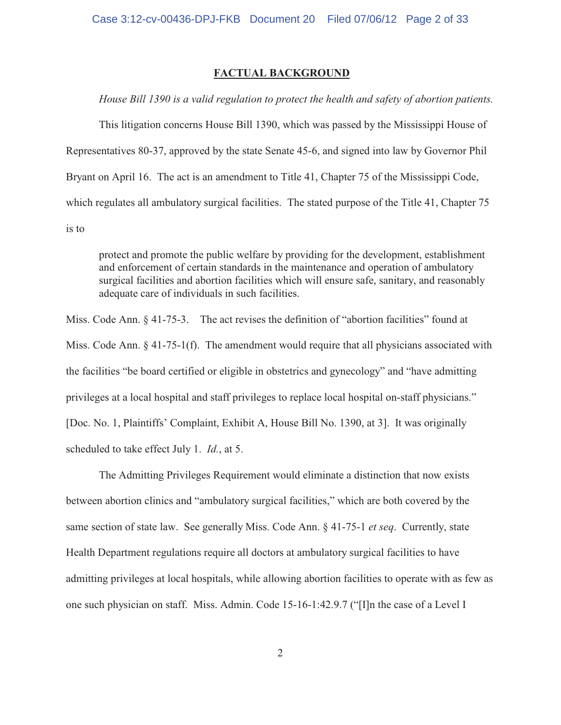### **FACTUAL BACKGROUND**

*House Bill 1390 is a valid regulation to protect the health and safety of abortion patients.*

This litigation concerns House Bill 1390, which was passed by the Mississippi House of Representatives 80-37, approved by the state Senate 45-6, and signed into law by Governor Phil Bryant on April 16. The act is an amendment to Title 41, Chapter 75 of the Mississippi Code, which regulates all ambulatory surgical facilities. The stated purpose of the Title 41, Chapter 75 is to

protect and promote the public welfare by providing for the development, establishment and enforcement of certain standards in the maintenance and operation of ambulatory surgical facilities and abortion facilities which will ensure safe, sanitary, and reasonably adequate care of individuals in such facilities.

Miss. Code Ann. § 41-75-3. The act revises the definition of "abortion facilities" found at Miss. Code Ann. § 41-75-1(f). The amendment would require that all physicians associated with the facilities "be board certified or eligible in obstetrics and gynecology" and "have admitting privileges at a local hospital and staff privileges to replace local hospital on-staff physicians." [Doc. No. 1, Plaintiffs' Complaint, Exhibit A, House Bill No. 1390, at 3]. It was originally scheduled to take effect July 1. *Id.*, at 5.

The Admitting Privileges Requirement would eliminate a distinction that now exists between abortion clinics and "ambulatory surgical facilities," which are both covered by the same section of state law. See generally Miss. Code Ann. § 41-75-1 *et seq*. Currently, state Health Department regulations require all doctors at ambulatory surgical facilities to have admitting privileges at local hospitals, while allowing abortion facilities to operate with as few as one such physician on staff. Miss. Admin. Code 15-16-1:42.9.7 ("[I]n the case of a Level I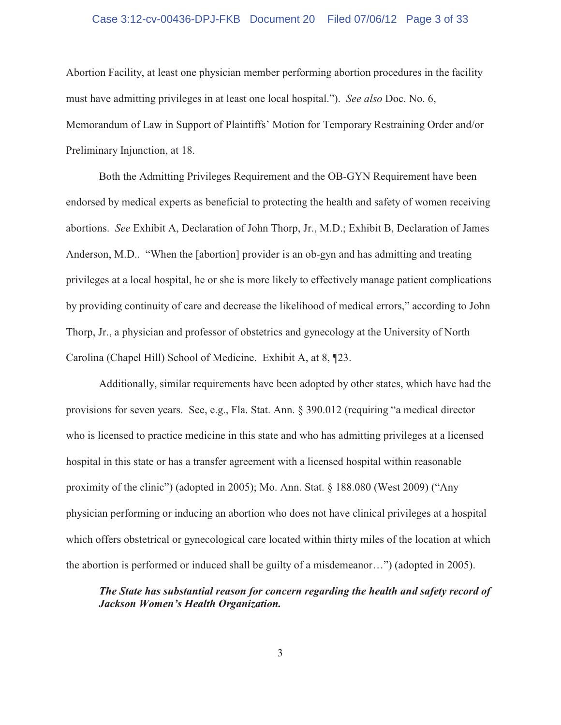# Case 3:12-cv-00436-DPJ-FKB Document 20 Filed 07/06/12 Page 3 of 33

Abortion Facility, at least one physician member performing abortion procedures in the facility must have admitting privileges in at least one local hospital."). *See also* Doc. No. 6, Memorandum of Law in Support of Plaintiffs' Motion for Temporary Restraining Order and/or Preliminary Injunction, at 18.

Both the Admitting Privileges Requirement and the OB-GYN Requirement have been endorsed by medical experts as beneficial to protecting the health and safety of women receiving abortions. *See* Exhibit A, Declaration of John Thorp, Jr., M.D.; Exhibit B, Declaration of James Anderson, M.D.. "When the [abortion] provider is an ob-gyn and has admitting and treating privileges at a local hospital, he or she is more likely to effectively manage patient complications by providing continuity of care and decrease the likelihood of medical errors," according to John Thorp, Jr., a physician and professor of obstetrics and gynecology at the University of North Carolina (Chapel Hill) School of Medicine. Exhibit A, at 8, ¶23.

Additionally, similar requirements have been adopted by other states, which have had the provisions for seven years. See, e.g., Fla. Stat. Ann. § 390.012 (requiring "a medical director who is licensed to practice medicine in this state and who has admitting privileges at a licensed hospital in this state or has a transfer agreement with a licensed hospital within reasonable proximity of the clinic") (adopted in 2005); Mo. Ann. Stat. § 188.080 (West 2009) ("Any physician performing or inducing an abortion who does not have clinical privileges at a hospital which offers obstetrical or gynecological care located within thirty miles of the location at which the abortion is performed or induced shall be guilty of a misdemeanor…") (adopted in 2005).

# *The State has substantial reason for concern regarding the health and safety record of Jackson Women's Health Organization.*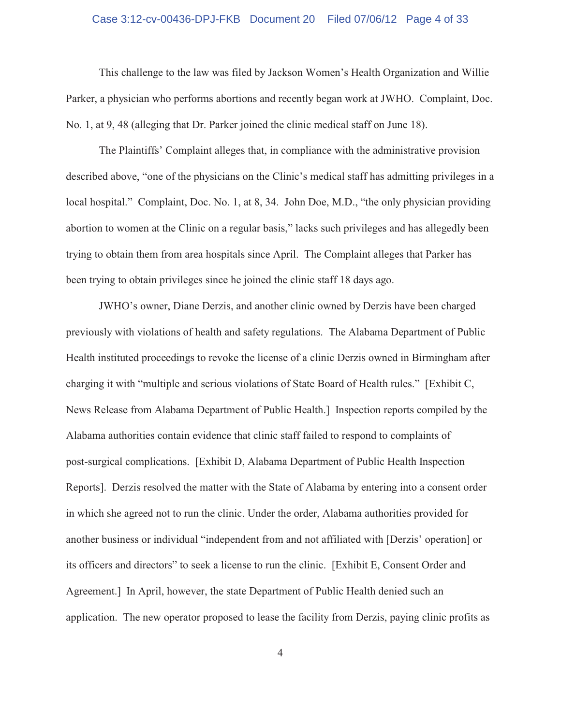#### Case 3:12-cv-00436-DPJ-FKB Document 20 Filed 07/06/12 Page 4 of 33

This challenge to the law was filed by Jackson Women's Health Organization and Willie Parker, a physician who performs abortions and recently began work at JWHO. Complaint, Doc. No. 1, at 9, 48 (alleging that Dr. Parker joined the clinic medical staff on June 18).

The Plaintiffs' Complaint alleges that, in compliance with the administrative provision described above, "one of the physicians on the Clinic's medical staff has admitting privileges in a local hospital." Complaint, Doc. No. 1, at 8, 34. John Doe, M.D., "the only physician providing abortion to women at the Clinic on a regular basis," lacks such privileges and has allegedly been trying to obtain them from area hospitals since April. The Complaint alleges that Parker has been trying to obtain privileges since he joined the clinic staff 18 days ago.

JWHO's owner, Diane Derzis, and another clinic owned by Derzis have been charged previously with violations of health and safety regulations. The Alabama Department of Public Health instituted proceedings to revoke the license of a clinic Derzis owned in Birmingham after charging it with "multiple and serious violations of State Board of Health rules." [Exhibit C, News Release from Alabama Department of Public Health.] Inspection reports compiled by the Alabama authorities contain evidence that clinic staff failed to respond to complaints of post-surgical complications. [Exhibit D, Alabama Department of Public Health Inspection Reports]. Derzis resolved the matter with the State of Alabama by entering into a consent order in which she agreed not to run the clinic. Under the order, Alabama authorities provided for another business or individual "independent from and not affiliated with [Derzis' operation] or its officers and directors" to seek a license to run the clinic. [Exhibit E, Consent Order and Agreement.] In April, however, the state Department of Public Health denied such an application. The new operator proposed to lease the facility from Derzis, paying clinic profits as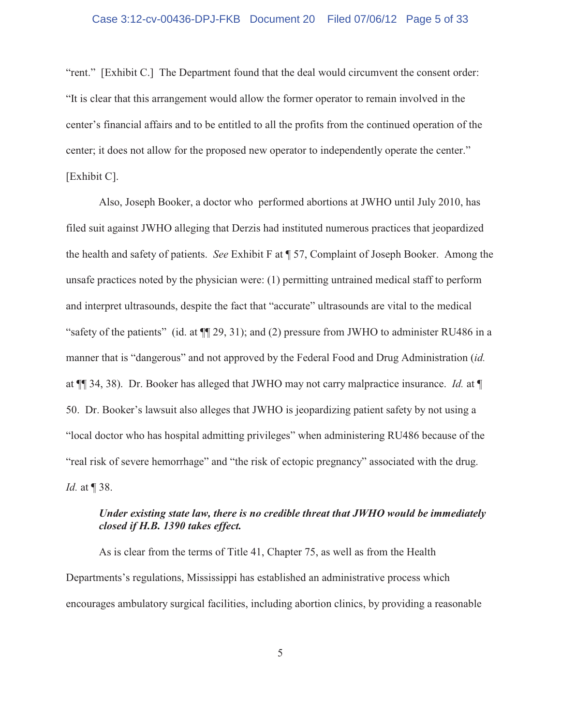"rent." [Exhibit C.] The Department found that the deal would circumvent the consent order: "It is clear that this arrangement would allow the former operator to remain involved in the center's financial affairs and to be entitled to all the profits from the continued operation of the center; it does not allow for the proposed new operator to independently operate the center." [Exhibit C].

Also, Joseph Booker, a doctor who performed abortions at JWHO until July 2010, has filed suit against JWHO alleging that Derzis had instituted numerous practices that jeopardized the health and safety of patients. *See* Exhibit F at ¶ 57, Complaint of Joseph Booker. Among the unsafe practices noted by the physician were: (1) permitting untrained medical staff to perform and interpret ultrasounds, despite the fact that "accurate" ultrasounds are vital to the medical "safety of the patients" (id. at ¶¶ 29, 31); and (2) pressure from JWHO to administer RU486 in a manner that is "dangerous" and not approved by the Federal Food and Drug Administration (*id.* at ¶¶ 34, 38). Dr. Booker has alleged that JWHO may not carry malpractice insurance. *Id.* at ¶ 50. Dr. Booker's lawsuit also alleges that JWHO is jeopardizing patient safety by not using a "local doctor who has hospital admitting privileges" when administering RU486 because of the "real risk of severe hemorrhage" and "the risk of ectopic pregnancy" associated with the drug. *Id.* at ¶ 38.

# *Under existing state law, there is no credible threat that JWHO would be immediately closed if H.B. 1390 takes effect.*

As is clear from the terms of Title 41, Chapter 75, as well as from the Health Departments's regulations, Mississippi has established an administrative process which encourages ambulatory surgical facilities, including abortion clinics, by providing a reasonable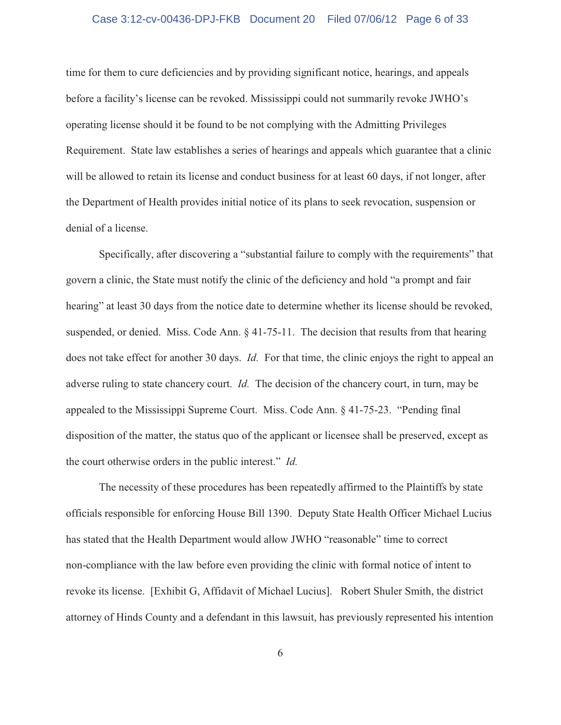#### Case 3:12-cv-00436-DPJ-FKB Document 20 Filed 07/06/12 Page 6 of 33

time for them to cure deficiencies and by providing significant notice, hearings, and appeals before a facility's license can be revoked. Mississippi could not summarily revoke JWHO's operating license should it be found to be not complying with the Admitting Privileges Requirement. State law establishes a series of hearings and appeals which guarantee that a clinic will be allowed to retain its license and conduct business for at least 60 days, if not longer, after the Department of Health provides initial notice of its plans to seek revocation, suspension or denial of a license.

Specifically, after discovering a "substantial failure to comply with the requirements" that govern a clinic, the State must notify the clinic of the deficiency and hold "a prompt and fair hearing" at least 30 days from the notice date to determine whether its license should be revoked, suspended, or denied. Miss. Code Ann. § 41-75-11. The decision that results from that hearing does not take effect for another 30 days. *Id.* For that time, the clinic enjoys the right to appeal an adverse ruling to state chancery court. *Id.* The decision of the chancery court, in turn, may be appealed to the Mississippi Supreme Court. Miss. Code Ann. § 41-75-23. "Pending final disposition of the matter, the status quo of the applicant or licensee shall be preserved, except as the court otherwise orders in the public interest." *Id.*

The necessity of these procedures has been repeatedly affirmed to the Plaintiffs by state officials responsible for enforcing House Bill 1390. Deputy State Health Officer Michael Lucius has stated that the Health Department would allow JWHO "reasonable" time to correct non-compliance with the law before even providing the clinic with formal notice of intent to revoke its license. [Exhibit G, Affidavit of Michael Lucius]. Robert Shuler Smith, the district attorney of Hinds County and a defendant in this lawsuit, has previously represented his intention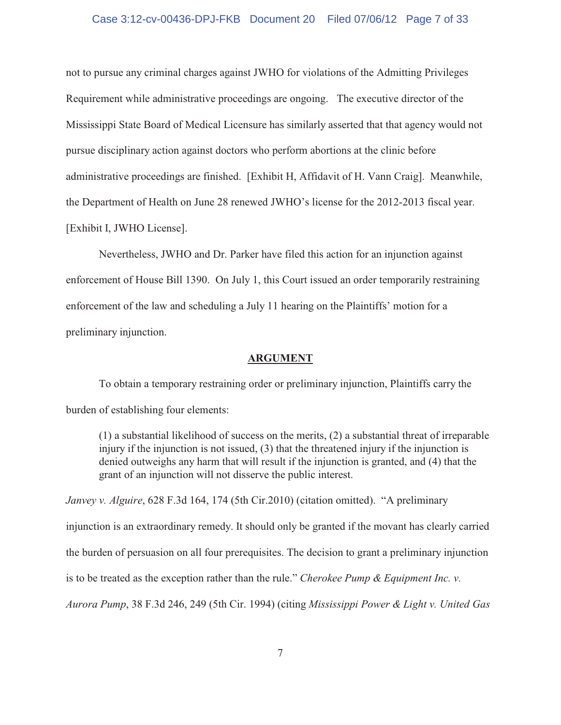#### Case 3:12-cv-00436-DPJ-FKB Document 20 Filed 07/06/12 Page 7 of 33

not to pursue any criminal charges against JWHO for violations of the Admitting Privileges Requirement while administrative proceedings are ongoing. The executive director of the Mississippi State Board of Medical Licensure has similarly asserted that that agency would not pursue disciplinary action against doctors who perform abortions at the clinic before administrative proceedings are finished. [Exhibit H, Affidavit of H. Vann Craig]. Meanwhile, the Department of Health on June 28 renewed JWHO's license for the 2012-2013 fiscal year. [Exhibit I, JWHO License].

Nevertheless, JWHO and Dr. Parker have filed this action for an injunction against enforcement of House Bill 1390. On July 1, this Court issued an order temporarily restraining enforcement of the law and scheduling a July 11 hearing on the Plaintiffs' motion for a preliminary injunction.

#### **ARGUMENT**

To obtain a temporary restraining order or preliminary injunction, Plaintiffs carry the burden of establishing four elements:

(1) a substantial likelihood of success on the merits, (2) a substantial threat of irreparable injury if the injunction is not issued, (3) that the threatened injury if the injunction is denied outweighs any harm that will result if the injunction is granted, and (4) that the grant of an injunction will not disserve the public interest.

*Janvey v. Alguire*, 628 F.3d 164, 174 (5th Cir.2010) (citation omitted). "A preliminary injunction is an extraordinary remedy. It should only be granted if the movant has clearly carried the burden of persuasion on all four prerequisites. The decision to grant a preliminary injunction is to be treated as the exception rather than the rule." *Cherokee Pump & Equipment Inc. v. Aurora Pump*, 38 F.3d 246, 249 (5th Cir. 1994) (citing *Mississippi Power & Light v. United Gas*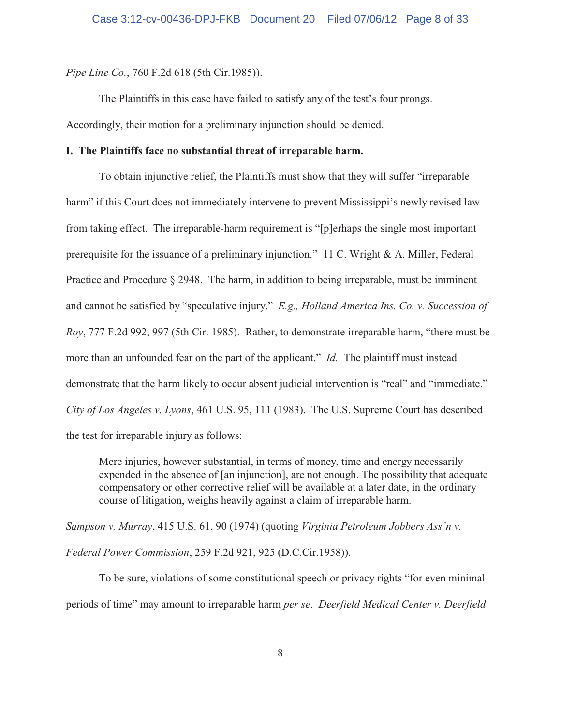*Pipe Line Co.*, 760 F.2d 618 (5th Cir.1985)).

The Plaintiffs in this case have failed to satisfy any of the test's four prongs. Accordingly, their motion for a preliminary injunction should be denied.

## **I. The Plaintiffs face no substantial threat of irreparable harm.**

To obtain injunctive relief, the Plaintiffs must show that they will suffer "irreparable harm" if this Court does not immediately intervene to prevent Mississippi's newly revised law from taking effect. The irreparable-harm requirement is "[p]erhaps the single most important prerequisite for the issuance of a preliminary injunction." 11 C. Wright & A. Miller, Federal Practice and Procedure § 2948. The harm, in addition to being irreparable, must be imminent and cannot be satisfied by "speculative injury." *E.g., Holland America Ins. Co. v. Succession of Roy*, 777 F.2d 992, 997 (5th Cir. 1985). Rather, to demonstrate irreparable harm, "there must be more than an unfounded fear on the part of the applicant." *Id.* The plaintiff must instead demonstrate that the harm likely to occur absent judicial intervention is "real" and "immediate." *City of Los Angeles v. Lyons*, 461 U.S. 95, 111 (1983). The U.S. Supreme Court has described the test for irreparable injury as follows:

Mere injuries, however substantial, in terms of money, time and energy necessarily expended in the absence of [an injunction], are not enough. The possibility that adequate compensatory or other corrective relief will be available at a later date, in the ordinary course of litigation, weighs heavily against a claim of irreparable harm.

*Sampson v. Murray*, 415 U.S. 61, 90 (1974) (quoting *Virginia Petroleum Jobbers Ass'n v. Federal Power Commission*, 259 F.2d 921, 925 (D.C.Cir.1958)).

To be sure, violations of some constitutional speech or privacy rights "for even minimal periods of time" may amount to irreparable harm *per se*. *Deerfield Medical Center v. Deerfield*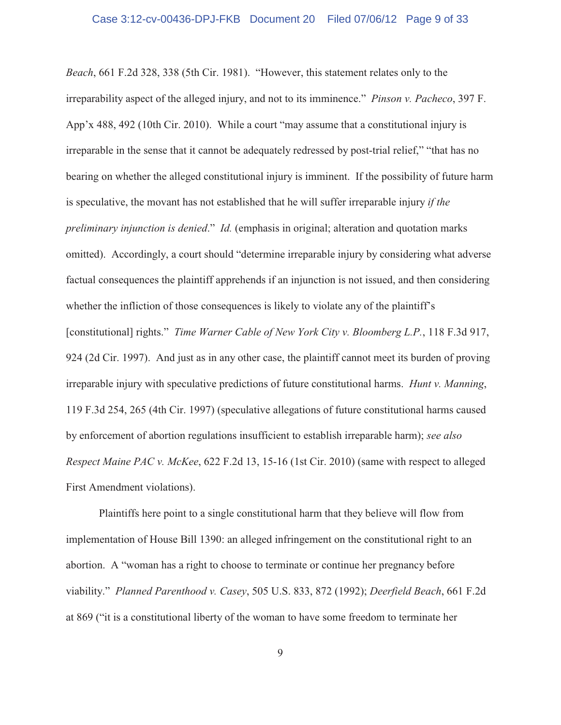*Beach*, 661 F.2d 328, 338 (5th Cir. 1981). "However, this statement relates only to the irreparability aspect of the alleged injury, and not to its imminence." *Pinson v. Pacheco*, 397 F. App'x 488, 492 (10th Cir. 2010). While a court "may assume that a constitutional injury is irreparable in the sense that it cannot be adequately redressed by post-trial relief," "that has no bearing on whether the alleged constitutional injury is imminent. If the possibility of future harm is speculative, the movant has not established that he will suffer irreparable injury *if the preliminary injunction is denied*." *Id.* (emphasis in original; alteration and quotation marks omitted). Accordingly, a court should "determine irreparable injury by considering what adverse factual consequences the plaintiff apprehends if an injunction is not issued, and then considering whether the infliction of those consequences is likely to violate any of the plaintiff's [constitutional] rights." *Time Warner Cable of New York City v. Bloomberg L.P.*, 118 F.3d 917, 924 (2d Cir. 1997). And just as in any other case, the plaintiff cannot meet its burden of proving irreparable injury with speculative predictions of future constitutional harms. *Hunt v. Manning*, 119 F.3d 254, 265 (4th Cir. 1997) (speculative allegations of future constitutional harms caused by enforcement of abortion regulations insufficient to establish irreparable harm); *see also Respect Maine PAC v. McKee*, 622 F.2d 13, 15-16 (1st Cir. 2010) (same with respect to alleged First Amendment violations).

Plaintiffs here point to a single constitutional harm that they believe will flow from implementation of House Bill 1390: an alleged infringement on the constitutional right to an abortion. A "woman has a right to choose to terminate or continue her pregnancy before viability." *Planned Parenthood v. Casey*, 505 U.S. 833, 872 (1992); *Deerfield Beach*, 661 F.2d at 869 ("it is a constitutional liberty of the woman to have some freedom to terminate her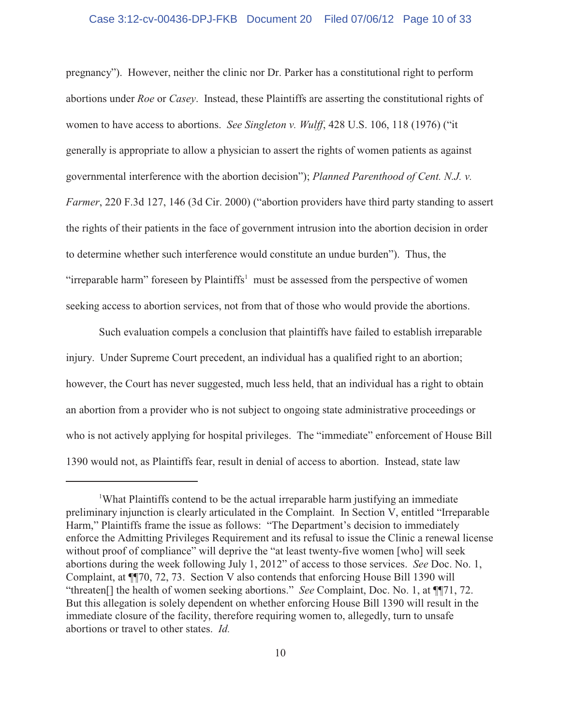#### Case 3:12-cv-00436-DPJ-FKB Document 20 Filed 07/06/12 Page 10 of 33

pregnancy"). However, neither the clinic nor Dr. Parker has a constitutional right to perform abortions under *Roe* or *Casey*. Instead, these Plaintiffs are asserting the constitutional rights of women to have access to abortions. *See Singleton v. Wulff*, 428 U.S. 106, 118 (1976) ("it generally is appropriate to allow a physician to assert the rights of women patients as against governmental interference with the abortion decision"); *Planned Parenthood of Cent. N.J. v. Farmer*, 220 F.3d 127, 146 (3d Cir. 2000) ("abortion providers have third party standing to assert the rights of their patients in the face of government intrusion into the abortion decision in order to determine whether such interference would constitute an undue burden"). Thus, the "irreparable harm" foreseen by Plaintiffs<sup>1</sup> must be assessed from the perspective of women seeking access to abortion services, not from that of those who would provide the abortions.

Such evaluation compels a conclusion that plaintiffs have failed to establish irreparable injury. Under Supreme Court precedent, an individual has a qualified right to an abortion; however, the Court has never suggested, much less held, that an individual has a right to obtain an abortion from a provider who is not subject to ongoing state administrative proceedings or who is not actively applying for hospital privileges. The "immediate" enforcement of House Bill 1390 would not, as Plaintiffs fear, result in denial of access to abortion. Instead, state law

<sup>&</sup>lt;sup>1</sup>What Plaintiffs contend to be the actual irreparable harm justifying an immediate preliminary injunction is clearly articulated in the Complaint. In Section V, entitled "Irreparable Harm," Plaintiffs frame the issue as follows: "The Department's decision to immediately enforce the Admitting Privileges Requirement and its refusal to issue the Clinic a renewal license without proof of compliance" will deprive the "at least twenty-five women [who] will seek abortions during the week following July 1, 2012" of access to those services. *See* Doc. No. 1, Complaint, at ¶¶70, 72, 73. Section V also contends that enforcing House Bill 1390 will "threaten[] the health of women seeking abortions." *See* Complaint, Doc. No. 1, at ¶¶71, 72. But this allegation is solely dependent on whether enforcing House Bill 1390 will result in the immediate closure of the facility, therefore requiring women to, allegedly, turn to unsafe abortions or travel to other states. *Id.*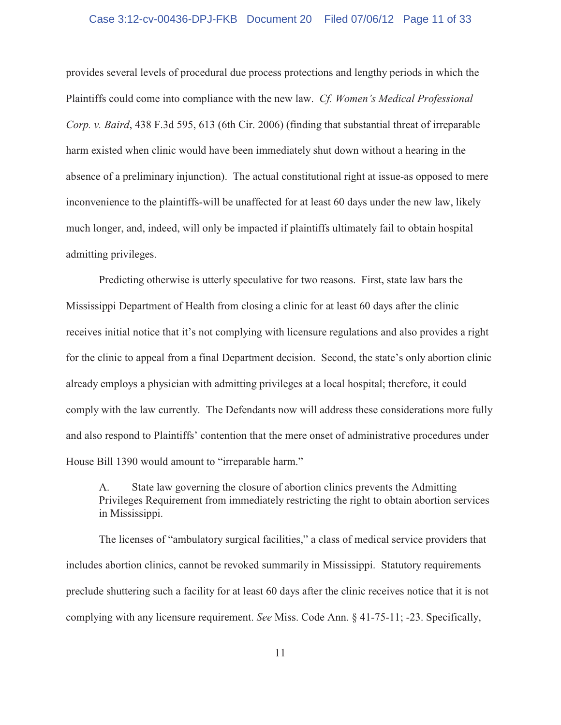#### Case 3:12-cv-00436-DPJ-FKB Document 20 Filed 07/06/12 Page 11 of 33

provides several levels of procedural due process protections and lengthy periods in which the Plaintiffs could come into compliance with the new law. *Cf. Women's Medical Professional Corp. v. Baird*, 438 F.3d 595, 613 (6th Cir. 2006) (finding that substantial threat of irreparable harm existed when clinic would have been immediately shut down without a hearing in the absence of a preliminary injunction). The actual constitutional right at issue-as opposed to mere inconvenience to the plaintiffs-will be unaffected for at least 60 days under the new law, likely much longer, and, indeed, will only be impacted if plaintiffs ultimately fail to obtain hospital admitting privileges.

Predicting otherwise is utterly speculative for two reasons. First, state law bars the Mississippi Department of Health from closing a clinic for at least 60 days after the clinic receives initial notice that it's not complying with licensure regulations and also provides a right for the clinic to appeal from a final Department decision. Second, the state's only abortion clinic already employs a physician with admitting privileges at a local hospital; therefore, it could comply with the law currently. The Defendants now will address these considerations more fully and also respond to Plaintiffs' contention that the mere onset of administrative procedures under House Bill 1390 would amount to "irreparable harm."

A. State law governing the closure of abortion clinics prevents the Admitting Privileges Requirement from immediately restricting the right to obtain abortion services in Mississippi.

The licenses of "ambulatory surgical facilities," a class of medical service providers that includes abortion clinics, cannot be revoked summarily in Mississippi. Statutory requirements preclude shuttering such a facility for at least 60 days after the clinic receives notice that it is not complying with any licensure requirement. *See* Miss. Code Ann. § 41-75-11; -23. Specifically,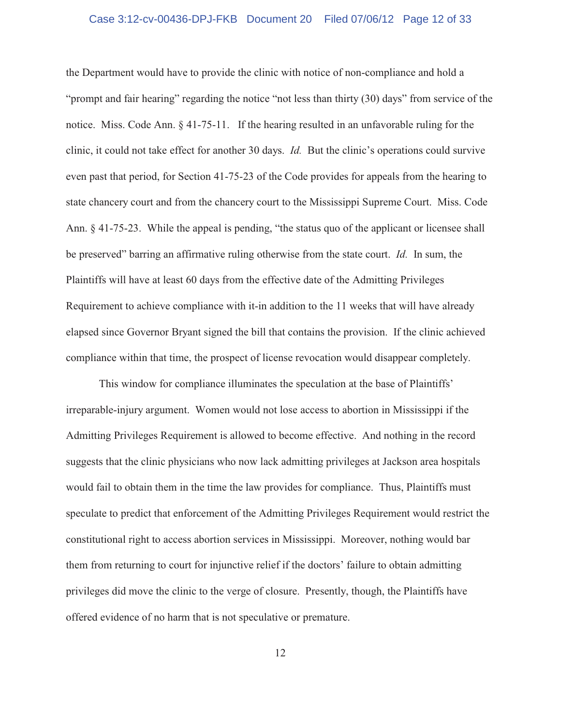#### Case 3:12-cv-00436-DPJ-FKB Document 20 Filed 07/06/12 Page 12 of 33

the Department would have to provide the clinic with notice of non-compliance and hold a "prompt and fair hearing" regarding the notice "not less than thirty (30) days" from service of the notice. Miss. Code Ann. § 41-75-11. If the hearing resulted in an unfavorable ruling for the clinic, it could not take effect for another 30 days. *Id.* But the clinic's operations could survive even past that period, for Section 41-75-23 of the Code provides for appeals from the hearing to state chancery court and from the chancery court to the Mississippi Supreme Court. Miss. Code Ann. § 41-75-23. While the appeal is pending, "the status quo of the applicant or licensee shall be preserved" barring an affirmative ruling otherwise from the state court. *Id.* In sum, the Plaintiffs will have at least 60 days from the effective date of the Admitting Privileges Requirement to achieve compliance with it-in addition to the 11 weeks that will have already elapsed since Governor Bryant signed the bill that contains the provision. If the clinic achieved compliance within that time, the prospect of license revocation would disappear completely.

This window for compliance illuminates the speculation at the base of Plaintiffs' irreparable-injury argument. Women would not lose access to abortion in Mississippi if the Admitting Privileges Requirement is allowed to become effective. And nothing in the record suggests that the clinic physicians who now lack admitting privileges at Jackson area hospitals would fail to obtain them in the time the law provides for compliance. Thus, Plaintiffs must speculate to predict that enforcement of the Admitting Privileges Requirement would restrict the constitutional right to access abortion services in Mississippi. Moreover, nothing would bar them from returning to court for injunctive relief if the doctors' failure to obtain admitting privileges did move the clinic to the verge of closure. Presently, though, the Plaintiffs have offered evidence of no harm that is not speculative or premature.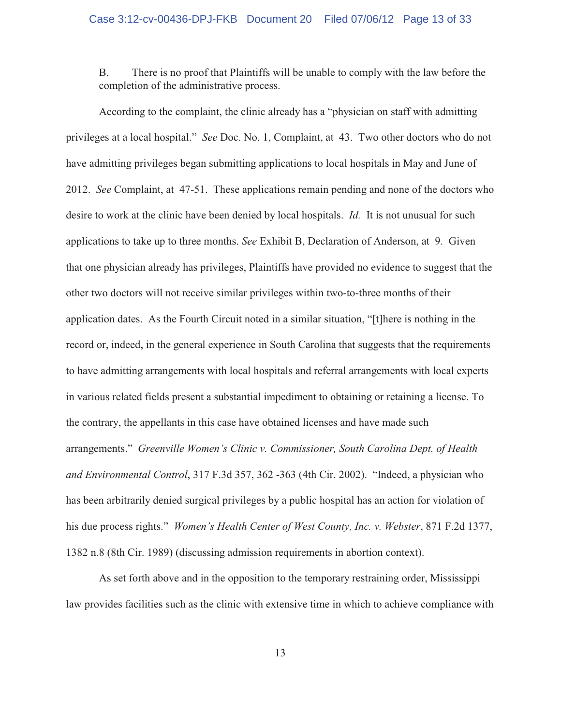B. There is no proof that Plaintiffs will be unable to comply with the law before the completion of the administrative process.

According to the complaint, the clinic already has a "physician on staff with admitting privileges at a local hospital." *See* Doc. No. 1, Complaint, at 43. Two other doctors who do not have admitting privileges began submitting applications to local hospitals in May and June of 2012. *See* Complaint, at 47-51. These applications remain pending and none of the doctors who desire to work at the clinic have been denied by local hospitals. *Id.* It is not unusual for such applications to take up to three months. *See* Exhibit B, Declaration of Anderson, at 9. Given that one physician already has privileges, Plaintiffs have provided no evidence to suggest that the other two doctors will not receive similar privileges within two-to-three months of their application dates. As the Fourth Circuit noted in a similar situation, "[t]here is nothing in the record or, indeed, in the general experience in South Carolina that suggests that the requirements to have admitting arrangements with local hospitals and referral arrangements with local experts in various related fields present a substantial impediment to obtaining or retaining a license. To the contrary, the appellants in this case have obtained licenses and have made such arrangements." *Greenville Women's Clinic v. Commissioner, South Carolina Dept. of Health and Environmental Control*, 317 F.3d 357, 362 -363 (4th Cir. 2002). "Indeed, a physician who has been arbitrarily denied surgical privileges by a public hospital has an action for violation of his due process rights." *Women's Health Center of West County, Inc. v. Webster*, 871 F.2d 1377, 1382 n.8 (8th Cir. 1989) (discussing admission requirements in abortion context).

As set forth above and in the opposition to the temporary restraining order, Mississippi law provides facilities such as the clinic with extensive time in which to achieve compliance with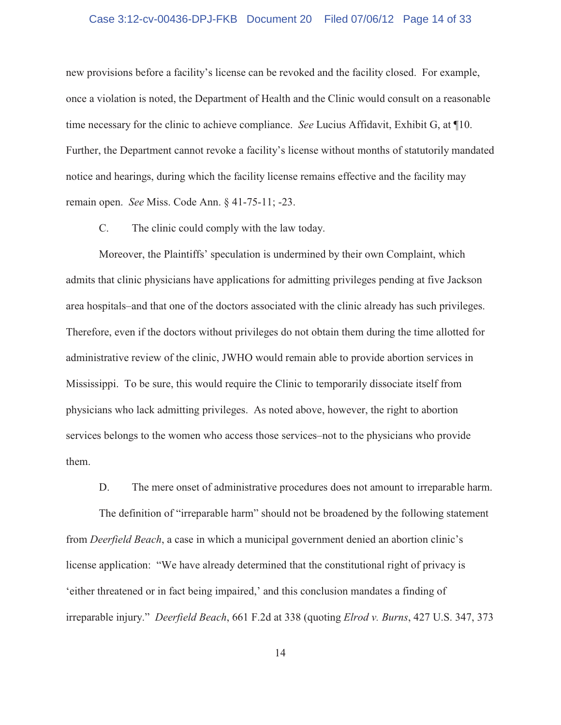#### Case 3:12-cv-00436-DPJ-FKB Document 20 Filed 07/06/12 Page 14 of 33

new provisions before a facility's license can be revoked and the facility closed. For example, once a violation is noted, the Department of Health and the Clinic would consult on a reasonable time necessary for the clinic to achieve compliance. *See* Lucius Affidavit, Exhibit G, at ¶10. Further, the Department cannot revoke a facility's license without months of statutorily mandated notice and hearings, during which the facility license remains effective and the facility may remain open. *See* Miss. Code Ann. § 41-75-11; -23.

C. The clinic could comply with the law today.

Moreover, the Plaintiffs' speculation is undermined by their own Complaint, which admits that clinic physicians have applications for admitting privileges pending at five Jackson area hospitals–and that one of the doctors associated with the clinic already has such privileges. Therefore, even if the doctors without privileges do not obtain them during the time allotted for administrative review of the clinic, JWHO would remain able to provide abortion services in Mississippi. To be sure, this would require the Clinic to temporarily dissociate itself from physicians who lack admitting privileges. As noted above, however, the right to abortion services belongs to the women who access those services–not to the physicians who provide them.

D. The mere onset of administrative procedures does not amount to irreparable harm.

The definition of "irreparable harm" should not be broadened by the following statement from *Deerfield Beach*, a case in which a municipal government denied an abortion clinic's license application: "We have already determined that the constitutional right of privacy is 'either threatened or in fact being impaired,' and this conclusion mandates a finding of irreparable injury." *Deerfield Beach*, 661 F.2d at 338 (quoting *Elrod v. Burns*, 427 U.S. 347, 373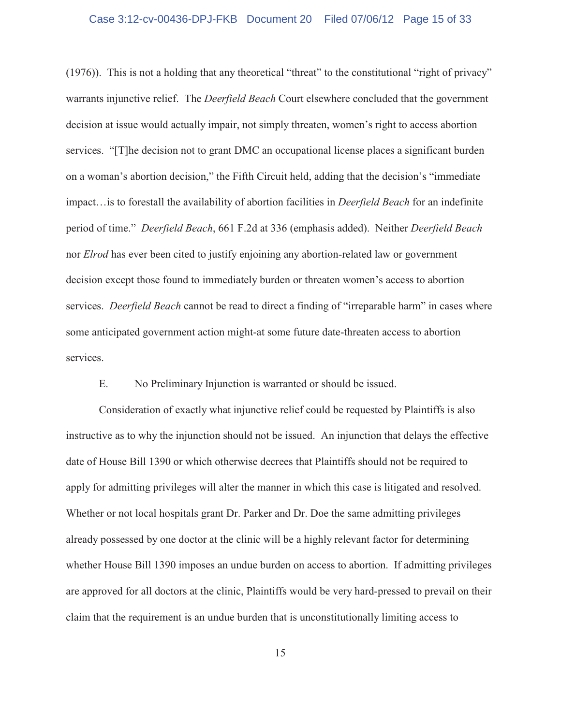#### Case 3:12-cv-00436-DPJ-FKB Document 20 Filed 07/06/12 Page 15 of 33

(1976)). This is not a holding that any theoretical "threat" to the constitutional "right of privacy" warrants injunctive relief. The *Deerfield Beach* Court elsewhere concluded that the government decision at issue would actually impair, not simply threaten, women's right to access abortion services. "[T]he decision not to grant DMC an occupational license places a significant burden on a woman's abortion decision," the Fifth Circuit held, adding that the decision's "immediate impact…is to forestall the availability of abortion facilities in *Deerfield Beach* for an indefinite period of time." *Deerfield Beach*, 661 F.2d at 336 (emphasis added). Neither *Deerfield Beach* nor *Elrod* has ever been cited to justify enjoining any abortion-related law or government decision except those found to immediately burden or threaten women's access to abortion services. *Deerfield Beach* cannot be read to direct a finding of "irreparable harm" in cases where some anticipated government action might-at some future date-threaten access to abortion services.

E. No Preliminary Injunction is warranted or should be issued.

Consideration of exactly what injunctive relief could be requested by Plaintiffs is also instructive as to why the injunction should not be issued. An injunction that delays the effective date of House Bill 1390 or which otherwise decrees that Plaintiffs should not be required to apply for admitting privileges will alter the manner in which this case is litigated and resolved. Whether or not local hospitals grant Dr. Parker and Dr. Doe the same admitting privileges already possessed by one doctor at the clinic will be a highly relevant factor for determining whether House Bill 1390 imposes an undue burden on access to abortion. If admitting privileges are approved for all doctors at the clinic, Plaintiffs would be very hard-pressed to prevail on their claim that the requirement is an undue burden that is unconstitutionally limiting access to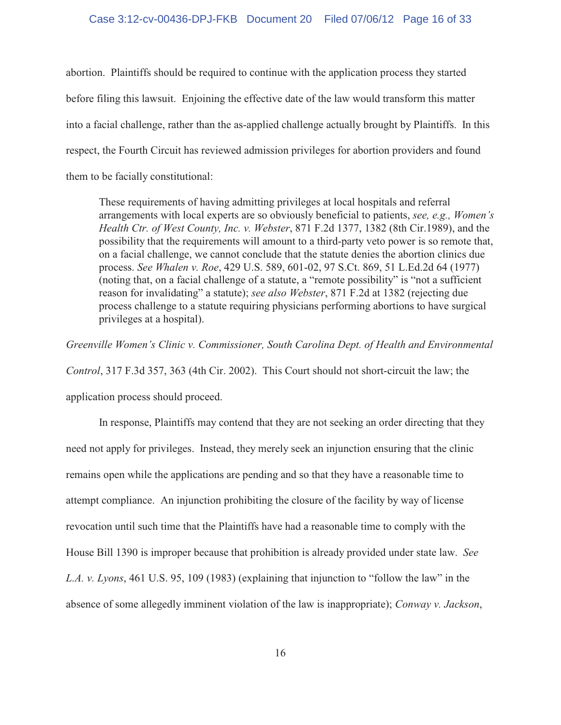#### Case 3:12-cv-00436-DPJ-FKB Document 20 Filed 07/06/12 Page 16 of 33

abortion. Plaintiffs should be required to continue with the application process they started before filing this lawsuit. Enjoining the effective date of the law would transform this matter into a facial challenge, rather than the as-applied challenge actually brought by Plaintiffs. In this respect, the Fourth Circuit has reviewed admission privileges for abortion providers and found them to be facially constitutional:

These requirements of having admitting privileges at local hospitals and referral arrangements with local experts are so obviously beneficial to patients, *see, e.g., Women's Health Ctr. of West County, Inc. v. Webster*, 871 F.2d 1377, 1382 (8th Cir.1989), and the possibility that the requirements will amount to a third-party veto power is so remote that, on a facial challenge, we cannot conclude that the statute denies the abortion clinics due process. *See Whalen v. Roe*, 429 U.S. 589, 601-02, 97 S.Ct. 869, 51 L.Ed.2d 64 (1977) (noting that, on a facial challenge of a statute, a "remote possibility" is "not a sufficient reason for invalidating" a statute); *see also Webster*, 871 F.2d at 1382 (rejecting due process challenge to a statute requiring physicians performing abortions to have surgical privileges at a hospital).

*Greenville Women's Clinic v. Commissioner, South Carolina Dept. of Health and Environmental Control*, 317 F.3d 357, 363 (4th Cir. 2002). This Court should not short-circuit the law; the application process should proceed.

In response, Plaintiffs may contend that they are not seeking an order directing that they need not apply for privileges. Instead, they merely seek an injunction ensuring that the clinic remains open while the applications are pending and so that they have a reasonable time to attempt compliance. An injunction prohibiting the closure of the facility by way of license revocation until such time that the Plaintiffs have had a reasonable time to comply with the House Bill 1390 is improper because that prohibition is already provided under state law. *See L.A. v. Lyons*, 461 U.S. 95, 109 (1983) (explaining that injunction to "follow the law" in the absence of some allegedly imminent violation of the law is inappropriate); *Conway v. Jackson*,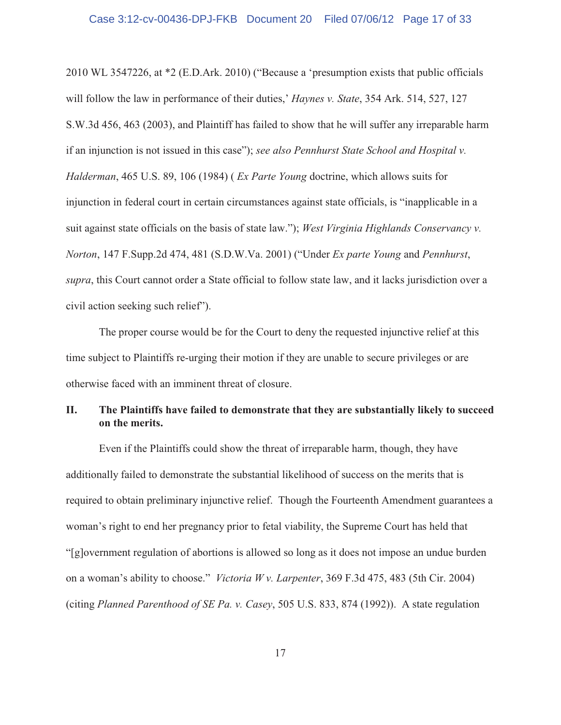2010 WL 3547226, at \*2 (E.D.Ark. 2010) ("Because a 'presumption exists that public officials will follow the law in performance of their duties,' *Haynes v. State*, 354 Ark. 514, 527, 127 S.W.3d 456, 463 (2003), and Plaintiff has failed to show that he will suffer any irreparable harm if an injunction is not issued in this case"); *see also Pennhurst State School and Hospital v. Halderman*, 465 U.S. 89, 106 (1984) ( *Ex Parte Young* doctrine, which allows suits for injunction in federal court in certain circumstances against state officials, is "inapplicable in a suit against state officials on the basis of state law."); *West Virginia Highlands Conservancy v. Norton*, 147 F.Supp.2d 474, 481 (S.D.W.Va. 2001) ("Under *Ex parte Young* and *Pennhurst*, *supra*, this Court cannot order a State official to follow state law, and it lacks jurisdiction over a civil action seeking such relief").

The proper course would be for the Court to deny the requested injunctive relief at this time subject to Plaintiffs re-urging their motion if they are unable to secure privileges or are otherwise faced with an imminent threat of closure.

# **II. The Plaintiffs have failed to demonstrate that they are substantially likely to succeed on the merits.**

Even if the Plaintiffs could show the threat of irreparable harm, though, they have additionally failed to demonstrate the substantial likelihood of success on the merits that is required to obtain preliminary injunctive relief. Though the Fourteenth Amendment guarantees a woman's right to end her pregnancy prior to fetal viability, the Supreme Court has held that "[g]overnment regulation of abortions is allowed so long as it does not impose an undue burden on a woman's ability to choose." *Victoria W v. Larpenter*, 369 F.3d 475, 483 (5th Cir. 2004) (citing *Planned Parenthood of SE Pa. v. Casey*, 505 U.S. 833, 874 (1992)). A state regulation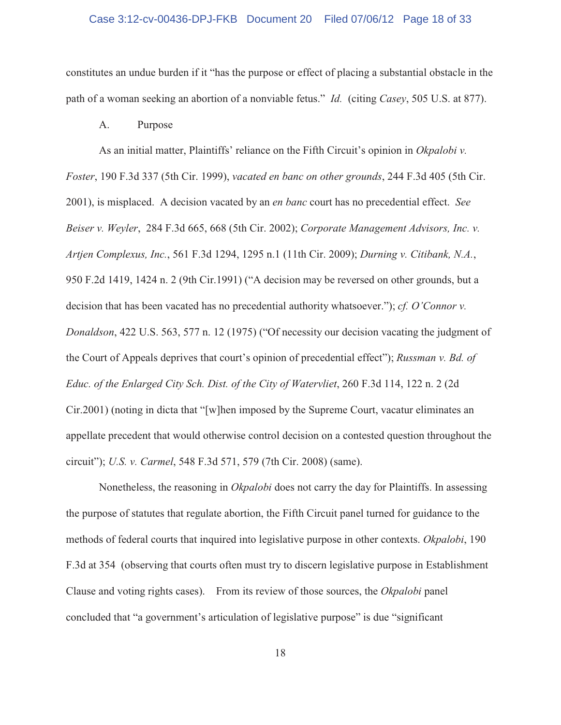#### Case 3:12-cv-00436-DPJ-FKB Document 20 Filed 07/06/12 Page 18 of 33

constitutes an undue burden if it "has the purpose or effect of placing a substantial obstacle in the path of a woman seeking an abortion of a nonviable fetus." *Id.* (citing *Casey*, 505 U.S. at 877).

A. Purpose

As an initial matter, Plaintiffs' reliance on the Fifth Circuit's opinion in *Okpalobi v. Foster*, 190 F.3d 337 (5th Cir. 1999), *vacated en banc on other grounds*, 244 F.3d 405 (5th Cir. 2001), is misplaced. A decision vacated by an *en banc* court has no precedential effect. *See Beiser v. Weyler*, 284 F.3d 665, 668 (5th Cir. 2002); *Corporate Management Advisors, Inc. v. Artjen Complexus, Inc.*, 561 F.3d 1294, 1295 n.1 (11th Cir. 2009); *Durning v. Citibank, N.A.*, 950 F.2d 1419, 1424 n. 2 (9th Cir.1991) ("A decision may be reversed on other grounds, but a decision that has been vacated has no precedential authority whatsoever."); *cf. O'Connor v. Donaldson*, 422 U.S. 563, 577 n. 12 (1975) ("Of necessity our decision vacating the judgment of the Court of Appeals deprives that court's opinion of precedential effect"); *Russman v. Bd. of Educ. of the Enlarged City Sch. Dist. of the City of Watervliet*, 260 F.3d 114, 122 n. 2 (2d Cir.2001) (noting in dicta that "[w]hen imposed by the Supreme Court, vacatur eliminates an appellate precedent that would otherwise control decision on a contested question throughout the circuit"); *U.S. v. Carmel*, 548 F.3d 571, 579 (7th Cir. 2008) (same).

Nonetheless, the reasoning in *Okpalobi* does not carry the day for Plaintiffs. In assessing the purpose of statutes that regulate abortion, the Fifth Circuit panel turned for guidance to the methods of federal courts that inquired into legislative purpose in other contexts. *Okpalobi*, 190 F.3d at 354 (observing that courts often must try to discern legislative purpose in Establishment Clause and voting rights cases). From its review of those sources, the *Okpalobi* panel concluded that "a government's articulation of legislative purpose" is due "significant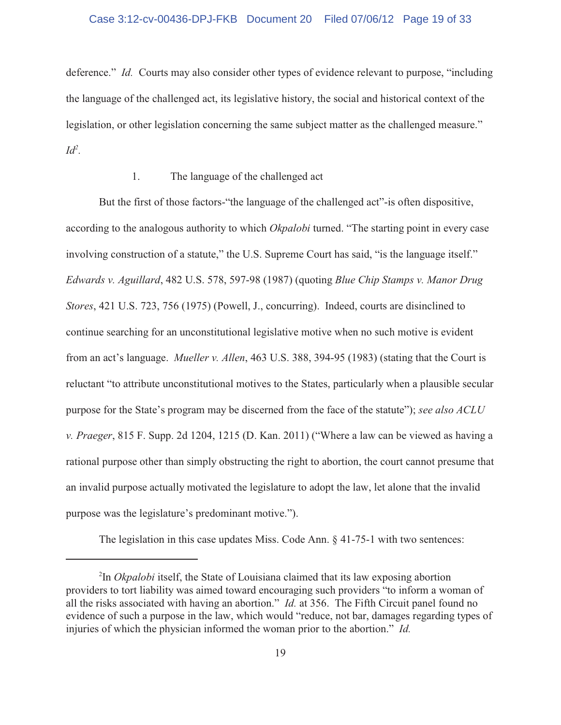#### Case 3:12-cv-00436-DPJ-FKB Document 20 Filed 07/06/12 Page 19 of 33

deference." *Id.* Courts may also consider other types of evidence relevant to purpose, "including the language of the challenged act, its legislative history, the social and historical context of the legislation, or other legislation concerning the same subject matter as the challenged measure."  $Id^2$ .

## 1. The language of the challenged act

But the first of those factors-"the language of the challenged act"-is often dispositive, according to the analogous authority to which *Okpalobi* turned. "The starting point in every case involving construction of a statute," the U.S. Supreme Court has said, "is the language itself." *Edwards v. Aguillard*, 482 U.S. 578, 597-98 (1987) (quoting *Blue Chip Stamps v. Manor Drug Stores*, 421 U.S. 723, 756 (1975) (Powell, J., concurring). Indeed, courts are disinclined to continue searching for an unconstitutional legislative motive when no such motive is evident from an act's language. *Mueller v. Allen*, 463 U.S. 388, 394-95 (1983) (stating that the Court is reluctant "to attribute unconstitutional motives to the States, particularly when a plausible secular purpose for the State's program may be discerned from the face of the statute"); *see also ACLU v. Praeger*, 815 F. Supp. 2d 1204, 1215 (D. Kan. 2011) ("Where a law can be viewed as having a rational purpose other than simply obstructing the right to abortion, the court cannot presume that an invalid purpose actually motivated the legislature to adopt the law, let alone that the invalid purpose was the legislature's predominant motive.").

The legislation in this case updates Miss. Code Ann. § 41-75-1 with two sentences:

<sup>&</sup>lt;sup>2</sup>In *Okpalobi* itself, the State of Louisiana claimed that its law exposing abortion providers to tort liability was aimed toward encouraging such providers "to inform a woman of all the risks associated with having an abortion." *Id.* at 356. The Fifth Circuit panel found no evidence of such a purpose in the law, which would "reduce, not bar, damages regarding types of injuries of which the physician informed the woman prior to the abortion." *Id.*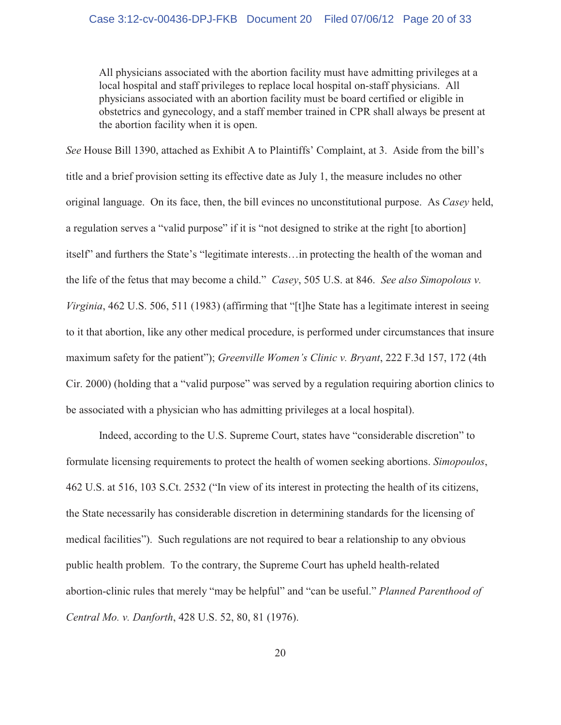All physicians associated with the abortion facility must have admitting privileges at a local hospital and staff privileges to replace local hospital on-staff physicians. All physicians associated with an abortion facility must be board certified or eligible in obstetrics and gynecology, and a staff member trained in CPR shall always be present at the abortion facility when it is open.

*See* House Bill 1390, attached as Exhibit A to Plaintiffs' Complaint, at 3. Aside from the bill's title and a brief provision setting its effective date as July 1, the measure includes no other original language. On its face, then, the bill evinces no unconstitutional purpose. As *Casey* held, a regulation serves a "valid purpose" if it is "not designed to strike at the right [to abortion] itself" and furthers the State's "legitimate interests…in protecting the health of the woman and the life of the fetus that may become a child." *Casey*, 505 U.S. at 846. *See also Simopolous v. Virginia*, 462 U.S. 506, 511 (1983) (affirming that "[t]he State has a legitimate interest in seeing to it that abortion, like any other medical procedure, is performed under circumstances that insure maximum safety for the patient"); *Greenville Women's Clinic v. Bryant*, 222 F.3d 157, 172 (4th Cir. 2000) (holding that a "valid purpose" was served by a regulation requiring abortion clinics to be associated with a physician who has admitting privileges at a local hospital).

Indeed, according to the U.S. Supreme Court, states have "considerable discretion" to formulate licensing requirements to protect the health of women seeking abortions. *Simopoulos*, 462 U.S. at 516, 103 S.Ct. 2532 ("In view of its interest in protecting the health of its citizens, the State necessarily has considerable discretion in determining standards for the licensing of medical facilities"). Such regulations are not required to bear a relationship to any obvious public health problem. To the contrary, the Supreme Court has upheld health-related abortion-clinic rules that merely "may be helpful" and "can be useful." *Planned Parenthood of Central Mo. v. Danforth*, 428 U.S. 52, 80, 81 (1976).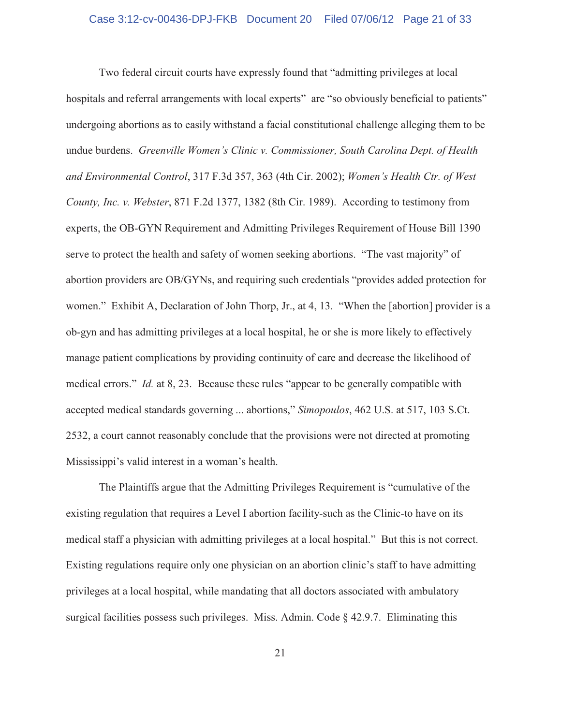Two federal circuit courts have expressly found that "admitting privileges at local hospitals and referral arrangements with local experts" are "so obviously beneficial to patients" undergoing abortions as to easily withstand a facial constitutional challenge alleging them to be undue burdens. *Greenville Women's Clinic v. Commissioner, South Carolina Dept. of Health and Environmental Control*, 317 F.3d 357, 363 (4th Cir. 2002); *Women's Health Ctr. of West County, Inc. v. Webster*, 871 F.2d 1377, 1382 (8th Cir. 1989). According to testimony from experts, the OB-GYN Requirement and Admitting Privileges Requirement of House Bill 1390 serve to protect the health and safety of women seeking abortions. "The vast majority" of abortion providers are OB/GYNs, and requiring such credentials "provides added protection for women." Exhibit A, Declaration of John Thorp, Jr., at 4, 13. "When the [abortion] provider is a ob-gyn and has admitting privileges at a local hospital, he or she is more likely to effectively manage patient complications by providing continuity of care and decrease the likelihood of medical errors." *Id.* at 8, 23. Because these rules "appear to be generally compatible with accepted medical standards governing ... abortions," *Simopoulos*, 462 U.S. at 517, 103 S.Ct. 2532, a court cannot reasonably conclude that the provisions were not directed at promoting Mississippi's valid interest in a woman's health.

The Plaintiffs argue that the Admitting Privileges Requirement is "cumulative of the existing regulation that requires a Level I abortion facility-such as the Clinic-to have on its medical staff a physician with admitting privileges at a local hospital." But this is not correct. Existing regulations require only one physician on an abortion clinic's staff to have admitting privileges at a local hospital, while mandating that all doctors associated with ambulatory surgical facilities possess such privileges. Miss. Admin. Code  $\S$  42.9.7. Eliminating this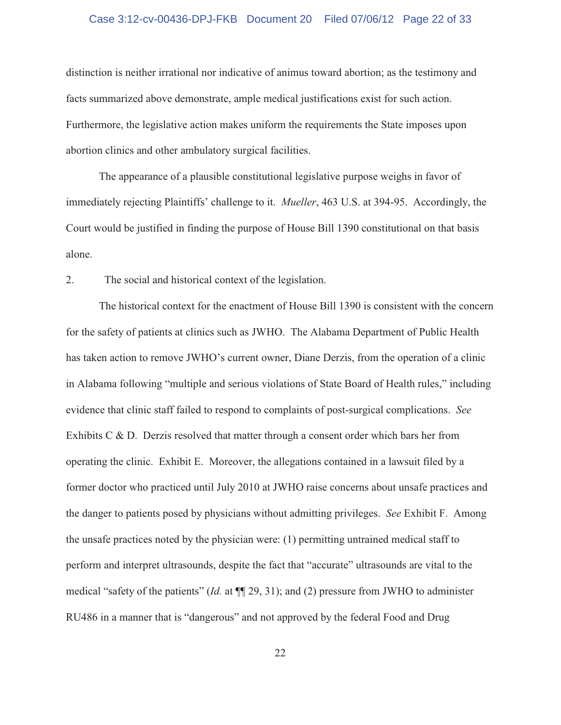#### Case 3:12-cv-00436-DPJ-FKB Document 20 Filed 07/06/12 Page 22 of 33

distinction is neither irrational nor indicative of animus toward abortion; as the testimony and facts summarized above demonstrate, ample medical justifications exist for such action. Furthermore, the legislative action makes uniform the requirements the State imposes upon abortion clinics and other ambulatory surgical facilities.

The appearance of a plausible constitutional legislative purpose weighs in favor of immediately rejecting Plaintiffs' challenge to it. *Mueller*, 463 U.S. at 394-95. Accordingly, the Court would be justified in finding the purpose of House Bill 1390 constitutional on that basis alone.

2. The social and historical context of the legislation.

The historical context for the enactment of House Bill 1390 is consistent with the concern for the safety of patients at clinics such as JWHO. The Alabama Department of Public Health has taken action to remove JWHO's current owner, Diane Derzis, from the operation of a clinic in Alabama following "multiple and serious violations of State Board of Health rules," including evidence that clinic staff failed to respond to complaints of post-surgical complications. *See* Exhibits C  $\&$  D. Derzis resolved that matter through a consent order which bars her from operating the clinic. Exhibit E. Moreover, the allegations contained in a lawsuit filed by a former doctor who practiced until July 2010 at JWHO raise concerns about unsafe practices and the danger to patients posed by physicians without admitting privileges. *See* Exhibit F. Among the unsafe practices noted by the physician were: (1) permitting untrained medical staff to perform and interpret ultrasounds, despite the fact that "accurate" ultrasounds are vital to the medical "safety of the patients" (*Id.* at ¶¶ 29, 31); and (2) pressure from JWHO to administer RU486 in a manner that is "dangerous" and not approved by the federal Food and Drug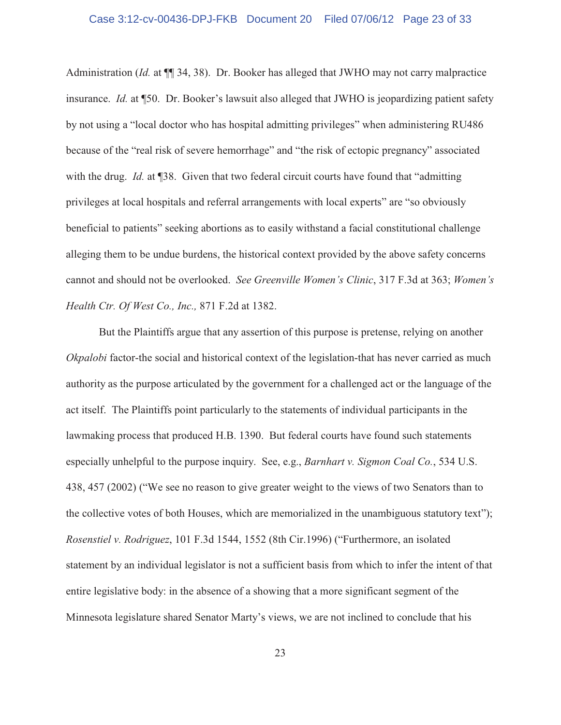Administration (*Id.* at ¶¶ 34, 38). Dr. Booker has alleged that JWHO may not carry malpractice insurance. *Id.* at ¶50. Dr. Booker's lawsuit also alleged that JWHO is jeopardizing patient safety by not using a "local doctor who has hospital admitting privileges" when administering RU486 because of the "real risk of severe hemorrhage" and "the risk of ectopic pregnancy" associated with the drug. *Id.* at ¶38. Given that two federal circuit courts have found that "admitting" privileges at local hospitals and referral arrangements with local experts" are "so obviously beneficial to patients" seeking abortions as to easily withstand a facial constitutional challenge alleging them to be undue burdens, the historical context provided by the above safety concerns cannot and should not be overlooked. *See Greenville Women's Clinic*, 317 F.3d at 363; *Women's Health Ctr. Of West Co., Inc.,* 871 F.2d at 1382.

But the Plaintiffs argue that any assertion of this purpose is pretense, relying on another *Okpalobi* factor-the social and historical context of the legislation-that has never carried as much authority as the purpose articulated by the government for a challenged act or the language of the act itself. The Plaintiffs point particularly to the statements of individual participants in the lawmaking process that produced H.B. 1390. But federal courts have found such statements especially unhelpful to the purpose inquiry. See, e.g., *Barnhart v. Sigmon Coal Co.*, 534 U.S. 438, 457 (2002) ("We see no reason to give greater weight to the views of two Senators than to the collective votes of both Houses, which are memorialized in the unambiguous statutory text"); *Rosenstiel v. Rodriguez*, 101 F.3d 1544, 1552 (8th Cir.1996) ("Furthermore, an isolated statement by an individual legislator is not a sufficient basis from which to infer the intent of that entire legislative body: in the absence of a showing that a more significant segment of the Minnesota legislature shared Senator Marty's views, we are not inclined to conclude that his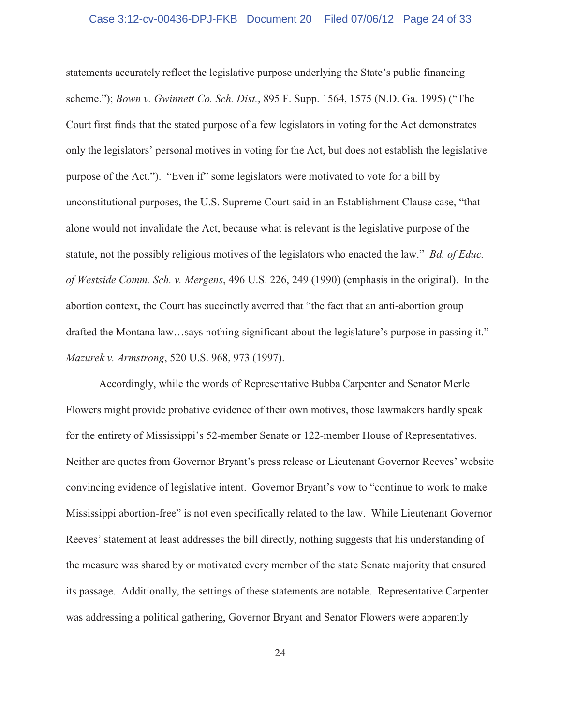#### Case 3:12-cv-00436-DPJ-FKB Document 20 Filed 07/06/12 Page 24 of 33

statements accurately reflect the legislative purpose underlying the State's public financing scheme."); *Bown v. Gwinnett Co. Sch. Dist.*, 895 F. Supp. 1564, 1575 (N.D. Ga. 1995) ("The Court first finds that the stated purpose of a few legislators in voting for the Act demonstrates only the legislators' personal motives in voting for the Act, but does not establish the legislative purpose of the Act."). "Even if" some legislators were motivated to vote for a bill by unconstitutional purposes, the U.S. Supreme Court said in an Establishment Clause case, "that alone would not invalidate the Act, because what is relevant is the legislative purpose of the statute, not the possibly religious motives of the legislators who enacted the law." *Bd. of Educ. of Westside Comm. Sch. v. Mergens*, 496 U.S. 226, 249 (1990) (emphasis in the original). In the abortion context, the Court has succinctly averred that "the fact that an anti-abortion group drafted the Montana law…says nothing significant about the legislature's purpose in passing it." *Mazurek v. Armstrong*, 520 U.S. 968, 973 (1997).

Accordingly, while the words of Representative Bubba Carpenter and Senator Merle Flowers might provide probative evidence of their own motives, those lawmakers hardly speak for the entirety of Mississippi's 52-member Senate or 122-member House of Representatives. Neither are quotes from Governor Bryant's press release or Lieutenant Governor Reeves' website convincing evidence of legislative intent. Governor Bryant's vow to "continue to work to make Mississippi abortion-free" is not even specifically related to the law. While Lieutenant Governor Reeves' statement at least addresses the bill directly, nothing suggests that his understanding of the measure was shared by or motivated every member of the state Senate majority that ensured its passage. Additionally, the settings of these statements are notable. Representative Carpenter was addressing a political gathering, Governor Bryant and Senator Flowers were apparently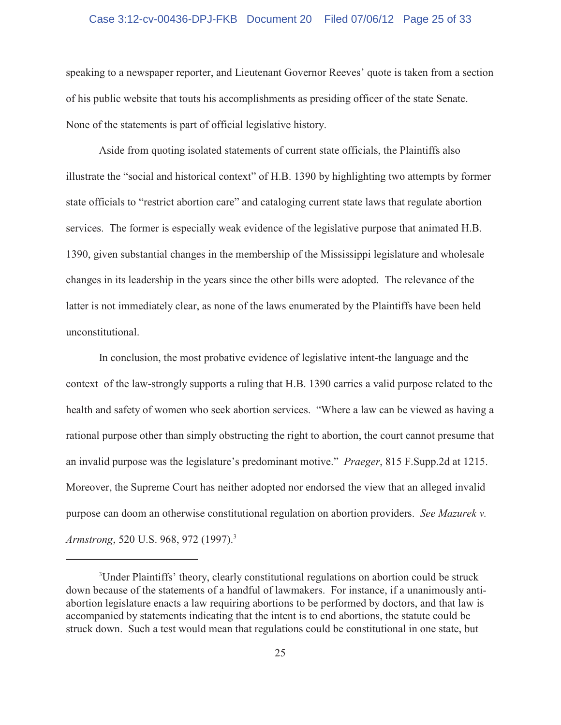#### Case 3:12-cv-00436-DPJ-FKB Document 20 Filed 07/06/12 Page 25 of 33

speaking to a newspaper reporter, and Lieutenant Governor Reeves' quote is taken from a section of his public website that touts his accomplishments as presiding officer of the state Senate. None of the statements is part of official legislative history.

Aside from quoting isolated statements of current state officials, the Plaintiffs also illustrate the "social and historical context" of H.B. 1390 by highlighting two attempts by former state officials to "restrict abortion care" and cataloging current state laws that regulate abortion services. The former is especially weak evidence of the legislative purpose that animated H.B. 1390, given substantial changes in the membership of the Mississippi legislature and wholesale changes in its leadership in the years since the other bills were adopted. The relevance of the latter is not immediately clear, as none of the laws enumerated by the Plaintiffs have been held unconstitutional.

In conclusion, the most probative evidence of legislative intent-the language and the context of the law-strongly supports a ruling that H.B. 1390 carries a valid purpose related to the health and safety of women who seek abortion services. "Where a law can be viewed as having a rational purpose other than simply obstructing the right to abortion, the court cannot presume that an invalid purpose was the legislature's predominant motive." *Praeger*, 815 F.Supp.2d at 1215. Moreover, the Supreme Court has neither adopted nor endorsed the view that an alleged invalid purpose can doom an otherwise constitutional regulation on abortion providers. *See Mazurek v. Armstrong*, 520 U.S. 968, 972 (1997). 3

<sup>&</sup>lt;sup>3</sup>Under Plaintiffs' theory, clearly constitutional regulations on abortion could be struck down because of the statements of a handful of lawmakers. For instance, if a unanimously antiabortion legislature enacts a law requiring abortions to be performed by doctors, and that law is accompanied by statements indicating that the intent is to end abortions, the statute could be struck down. Such a test would mean that regulations could be constitutional in one state, but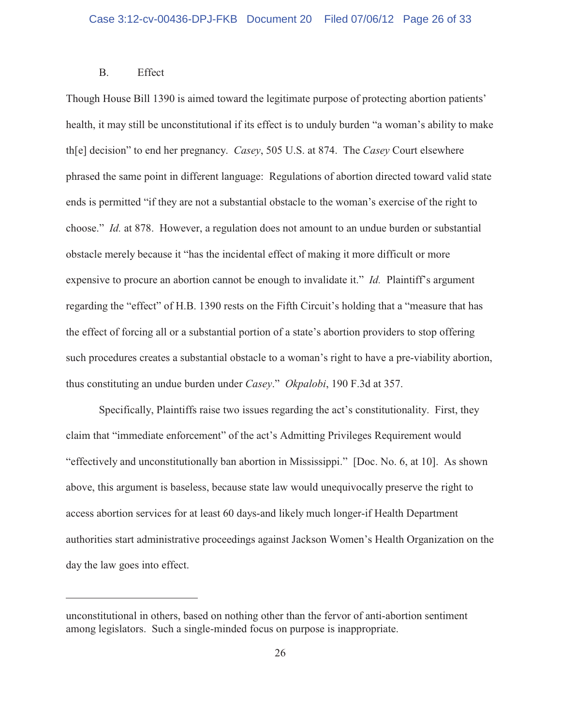## B. Effect

Though House Bill 1390 is aimed toward the legitimate purpose of protecting abortion patients' health, it may still be unconstitutional if its effect is to unduly burden "a woman's ability to make th[e] decision" to end her pregnancy. *Casey*, 505 U.S. at 874. The *Casey* Court elsewhere phrased the same point in different language: Regulations of abortion directed toward valid state ends is permitted "if they are not a substantial obstacle to the woman's exercise of the right to choose." *Id.* at 878. However, a regulation does not amount to an undue burden or substantial obstacle merely because it "has the incidental effect of making it more difficult or more expensive to procure an abortion cannot be enough to invalidate it." *Id.* Plaintiff's argument regarding the "effect" of H.B. 1390 rests on the Fifth Circuit's holding that a "measure that has the effect of forcing all or a substantial portion of a state's abortion providers to stop offering such procedures creates a substantial obstacle to a woman's right to have a pre-viability abortion, thus constituting an undue burden under *Casey*." *Okpalobi*, 190 F.3d at 357.

Specifically, Plaintiffs raise two issues regarding the act's constitutionality. First, they claim that "immediate enforcement" of the act's Admitting Privileges Requirement would "effectively and unconstitutionally ban abortion in Mississippi." [Doc. No. 6, at 10]. As shown above, this argument is baseless, because state law would unequivocally preserve the right to access abortion services for at least 60 days-and likely much longer-if Health Department authorities start administrative proceedings against Jackson Women's Health Organization on the day the law goes into effect.

unconstitutional in others, based on nothing other than the fervor of anti-abortion sentiment among legislators. Such a single-minded focus on purpose is inappropriate.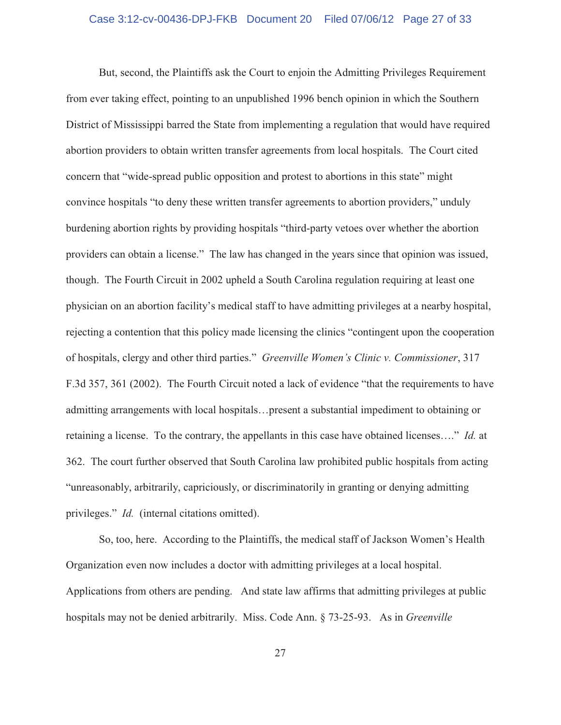But, second, the Plaintiffs ask the Court to enjoin the Admitting Privileges Requirement from ever taking effect, pointing to an unpublished 1996 bench opinion in which the Southern District of Mississippi barred the State from implementing a regulation that would have required abortion providers to obtain written transfer agreements from local hospitals. The Court cited concern that "wide-spread public opposition and protest to abortions in this state" might convince hospitals "to deny these written transfer agreements to abortion providers," unduly burdening abortion rights by providing hospitals "third-party vetoes over whether the abortion providers can obtain a license." The law has changed in the years since that opinion was issued, though. The Fourth Circuit in 2002 upheld a South Carolina regulation requiring at least one physician on an abortion facility's medical staff to have admitting privileges at a nearby hospital, rejecting a contention that this policy made licensing the clinics "contingent upon the cooperation of hospitals, clergy and other third parties." *Greenville Women's Clinic v. Commissioner*, 317 F.3d 357, 361 (2002). The Fourth Circuit noted a lack of evidence "that the requirements to have admitting arrangements with local hospitals…present a substantial impediment to obtaining or retaining a license. To the contrary, the appellants in this case have obtained licenses…." *Id.* at 362. The court further observed that South Carolina law prohibited public hospitals from acting "unreasonably, arbitrarily, capriciously, or discriminatorily in granting or denying admitting privileges." *Id.* (internal citations omitted).

So, too, here. According to the Plaintiffs, the medical staff of Jackson Women's Health Organization even now includes a doctor with admitting privileges at a local hospital. Applications from others are pending. And state law affirms that admitting privileges at public hospitals may not be denied arbitrarily. Miss. Code Ann. § 73-25-93. As in *Greenville*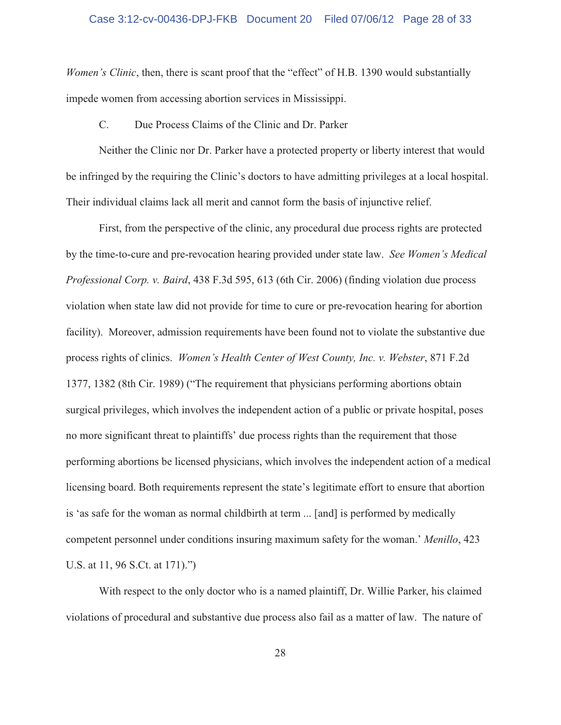#### Case 3:12-cv-00436-DPJ-FKB Document 20 Filed 07/06/12 Page 28 of 33

*Women's Clinic*, then, there is scant proof that the "effect" of H.B. 1390 would substantially impede women from accessing abortion services in Mississippi.

C. Due Process Claims of the Clinic and Dr. Parker

Neither the Clinic nor Dr. Parker have a protected property or liberty interest that would be infringed by the requiring the Clinic's doctors to have admitting privileges at a local hospital. Their individual claims lack all merit and cannot form the basis of injunctive relief.

First, from the perspective of the clinic, any procedural due process rights are protected by the time-to-cure and pre-revocation hearing provided under state law. *See Women's Medical Professional Corp. v. Baird*, 438 F.3d 595, 613 (6th Cir. 2006) (finding violation due process violation when state law did not provide for time to cure or pre-revocation hearing for abortion facility). Moreover, admission requirements have been found not to violate the substantive due process rights of clinics. *Women's Health Center of West County, Inc. v. Webster*, 871 F.2d 1377, 1382 (8th Cir. 1989) ("The requirement that physicians performing abortions obtain surgical privileges, which involves the independent action of a public or private hospital, poses no more significant threat to plaintiffs' due process rights than the requirement that those performing abortions be licensed physicians, which involves the independent action of a medical licensing board. Both requirements represent the state's legitimate effort to ensure that abortion is 'as safe for the woman as normal childbirth at term ... [and] is performed by medically competent personnel under conditions insuring maximum safety for the woman.' *Menillo*, 423 U.S. at 11, 96 S.Ct. at 171).")

With respect to the only doctor who is a named plaintiff, Dr. Willie Parker, his claimed violations of procedural and substantive due process also fail as a matter of law. The nature of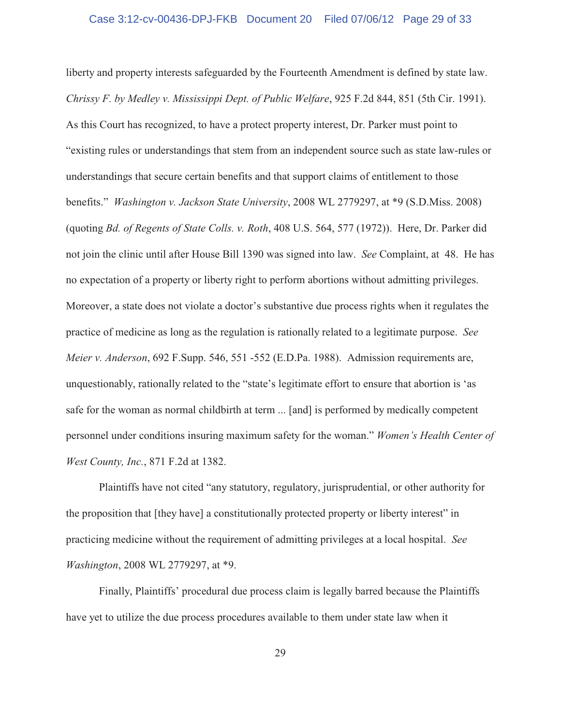liberty and property interests safeguarded by the Fourteenth Amendment is defined by state law. *Chrissy F. by Medley v. Mississippi Dept. of Public Welfare*, 925 F.2d 844, 851 (5th Cir. 1991). As this Court has recognized, to have a protect property interest, Dr. Parker must point to "existing rules or understandings that stem from an independent source such as state law-rules or understandings that secure certain benefits and that support claims of entitlement to those benefits." *Washington v. Jackson State University*, 2008 WL 2779297, at \*9 (S.D.Miss. 2008) (quoting *Bd. of Regents of State Colls. v. Roth*, 408 U.S. 564, 577 (1972)). Here, Dr. Parker did not join the clinic until after House Bill 1390 was signed into law. *See* Complaint, at 48. He has no expectation of a property or liberty right to perform abortions without admitting privileges. Moreover, a state does not violate a doctor's substantive due process rights when it regulates the practice of medicine as long as the regulation is rationally related to a legitimate purpose. *See Meier v. Anderson*, 692 F.Supp. 546, 551 -552 (E.D.Pa. 1988). Admission requirements are, unquestionably, rationally related to the "state's legitimate effort to ensure that abortion is 'as safe for the woman as normal childbirth at term ... [and] is performed by medically competent personnel under conditions insuring maximum safety for the woman." *Women's Health Center of West County, Inc.*, 871 F.2d at 1382.

Plaintiffs have not cited "any statutory, regulatory, jurisprudential, or other authority for the proposition that [they have] a constitutionally protected property or liberty interest" in practicing medicine without the requirement of admitting privileges at a local hospital. *See Washington*, 2008 WL 2779297, at \*9.

Finally, Plaintiffs' procedural due process claim is legally barred because the Plaintiffs have yet to utilize the due process procedures available to them under state law when it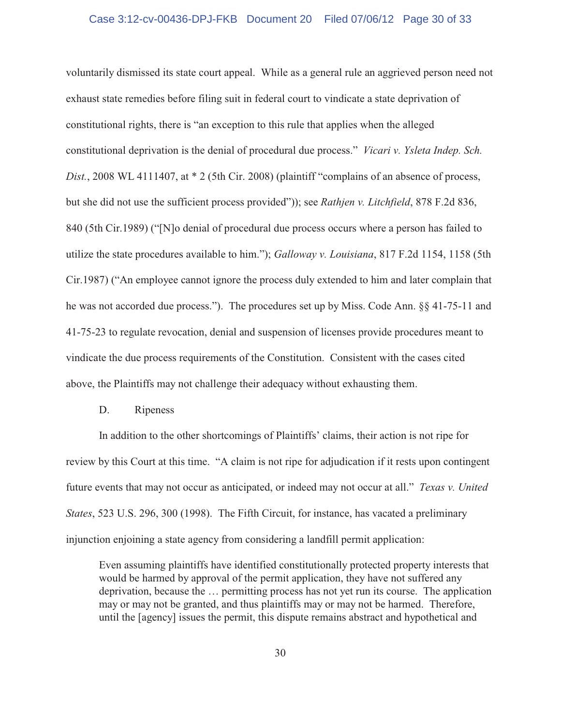#### Case 3:12-cv-00436-DPJ-FKB Document 20 Filed 07/06/12 Page 30 of 33

voluntarily dismissed its state court appeal. While as a general rule an aggrieved person need not exhaust state remedies before filing suit in federal court to vindicate a state deprivation of constitutional rights, there is "an exception to this rule that applies when the alleged constitutional deprivation is the denial of procedural due process." *Vicari v. Ysleta Indep. Sch. Dist.*, 2008 WL 4111407, at \* 2 (5th Cir. 2008) (plaintiff "complains of an absence of process, but she did not use the sufficient process provided")); see *Rathjen v. Litchfield*, 878 F.2d 836, 840 (5th Cir.1989) ("[N]o denial of procedural due process occurs where a person has failed to utilize the state procedures available to him."); *Galloway v. Louisiana*, 817 F.2d 1154, 1158 (5th Cir.1987) ("An employee cannot ignore the process duly extended to him and later complain that he was not accorded due process."). The procedures set up by Miss. Code Ann. §§ 41-75-11 and 41-75-23 to regulate revocation, denial and suspension of licenses provide procedures meant to vindicate the due process requirements of the Constitution. Consistent with the cases cited above, the Plaintiffs may not challenge their adequacy without exhausting them.

#### D. Ripeness

In addition to the other shortcomings of Plaintiffs' claims, their action is not ripe for review by this Court at this time. "A claim is not ripe for adjudication if it rests upon contingent future events that may not occur as anticipated, or indeed may not occur at all." *Texas v. United States*, 523 U.S. 296, 300 (1998). The Fifth Circuit, for instance, has vacated a preliminary injunction enjoining a state agency from considering a landfill permit application:

Even assuming plaintiffs have identified constitutionally protected property interests that would be harmed by approval of the permit application, they have not suffered any deprivation, because the … permitting process has not yet run its course. The application may or may not be granted, and thus plaintiffs may or may not be harmed. Therefore, until the [agency] issues the permit, this dispute remains abstract and hypothetical and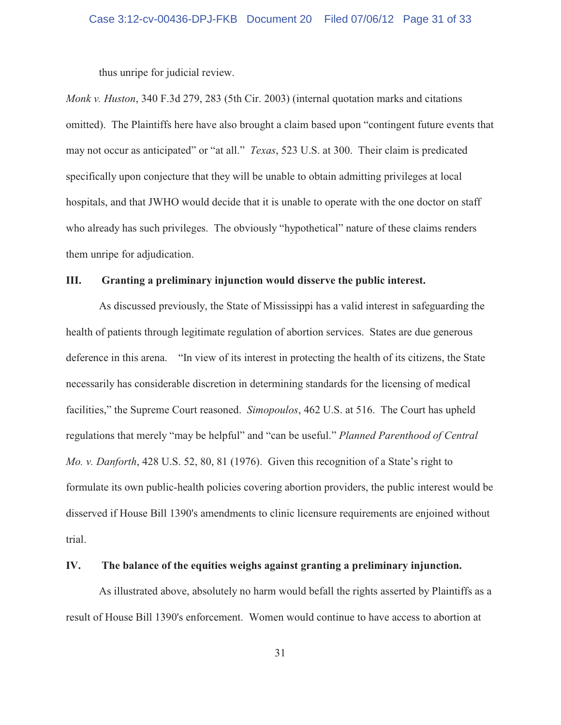thus unripe for judicial review.

*Monk v. Huston*, 340 F.3d 279, 283 (5th Cir. 2003) (internal quotation marks and citations omitted). The Plaintiffs here have also brought a claim based upon "contingent future events that may not occur as anticipated" or "at all." *Texas*, 523 U.S. at 300. Their claim is predicated specifically upon conjecture that they will be unable to obtain admitting privileges at local hospitals, and that JWHO would decide that it is unable to operate with the one doctor on staff who already has such privileges. The obviously "hypothetical" nature of these claims renders them unripe for adjudication.

#### **III. Granting a preliminary injunction would disserve the public interest.**

As discussed previously, the State of Mississippi has a valid interest in safeguarding the health of patients through legitimate regulation of abortion services. States are due generous deference in this arena. "In view of its interest in protecting the health of its citizens, the State necessarily has considerable discretion in determining standards for the licensing of medical facilities," the Supreme Court reasoned. *Simopoulos*, 462 U.S. at 516. The Court has upheld regulations that merely "may be helpful" and "can be useful." *Planned Parenthood of Central Mo. v. Danforth*, 428 U.S. 52, 80, 81 (1976). Given this recognition of a State's right to formulate its own public-health policies covering abortion providers, the public interest would be disserved if House Bill 1390's amendments to clinic licensure requirements are enjoined without trial.

# **IV. The balance of the equities weighs against granting a preliminary injunction.**

As illustrated above, absolutely no harm would befall the rights asserted by Plaintiffs as a result of House Bill 1390's enforcement. Women would continue to have access to abortion at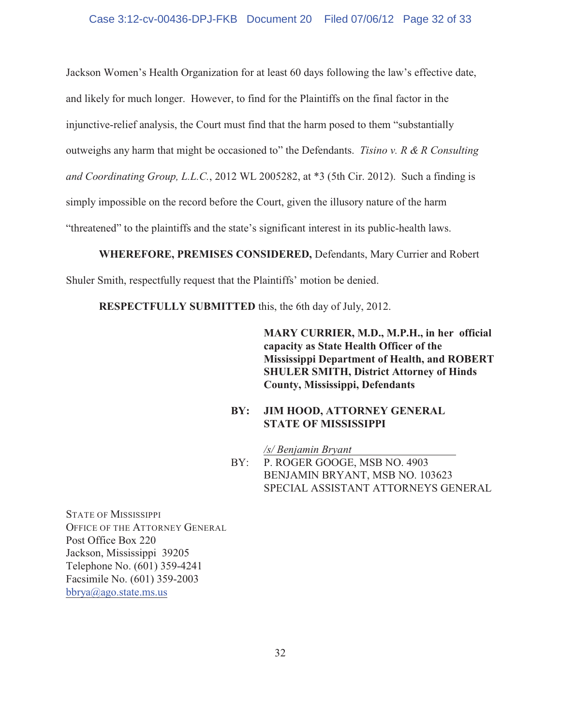#### Case 3:12-cv-00436-DPJ-FKB Document 20 Filed 07/06/12 Page 32 of 33

Jackson Women's Health Organization for at least 60 days following the law's effective date, and likely for much longer. However, to find for the Plaintiffs on the final factor in the injunctive-relief analysis, the Court must find that the harm posed to them "substantially outweighs any harm that might be occasioned to" the Defendants. *Tisino v. R & R Consulting and Coordinating Group, L.L.C.*, 2012 WL 2005282, at \*3 (5th Cir. 2012). Such a finding is simply impossible on the record before the Court, given the illusory nature of the harm "threatened" to the plaintiffs and the state's significant interest in its public-health laws.

**WHEREFORE, PREMISES CONSIDERED,** Defendants, Mary Currier and Robert

Shuler Smith, respectfully request that the Plaintiffs' motion be denied.

**RESPECTFULLY SUBMITTED** this, the 6th day of July, 2012.

**MARY CURRIER, M.D., M.P.H., in her official capacity as State Health Officer of the Mississippi Department of Health, and ROBERT SHULER SMITH, District Attorney of Hinds County, Mississippi, Defendants**

## **BY: JIM HOOD, ATTORNEY GENERAL STATE OF MISSISSIPPI**

*/s/ Benjamin Bryant*  BY: P. ROGER GOOGE, MSB NO. 4903 BENJAMIN BRYANT, MSB NO. 103623 SPECIAL ASSISTANT ATTORNEYS GENERAL

STATE OF MISSISSIPPI OFFICE OF THE ATTORNEY GENERAL Post Office Box 220 Jackson, Mississippi 39205 Telephone No. (601) 359-4241 Facsimile No. (601) 359-2003 bbrya@ago.state.ms.us